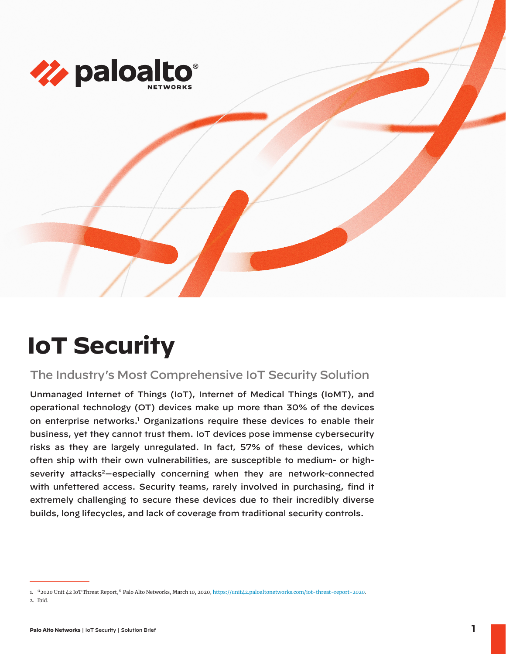

# **IoT Security**

## The Industry's Most Comprehensive IoT Security Solution

Unmanaged Internet of Things (IoT), Internet of Medical Things (IoMT), and operational technology (OT) devices make up more than 30% of the devices on enterprise networks.<sup>1</sup> Organizations require these devices to enable their business, yet they cannot trust them. IoT devices pose immense cybersecurity risks as they are largely unregulated. In fact, 57% of these devices, which often ship with their own vulnerabilities, are susceptible to medium- or highseverity attacks<sup>2</sup>-especially concerning when they are network-connected with unfettered access. Security teams, rarely involved in purchasing, find it extremely challenging to secure these devices due to their incredibly diverse builds, long lifecycles, and lack of coverage from traditional security controls.

<sup>1.</sup> "2020 Unit 42 IoT Threat Report," Palo Alto Networks, March 10, 2020, https://unit42.paloaltonetworks.com/iot-threat-report-2020. 2. Ibid.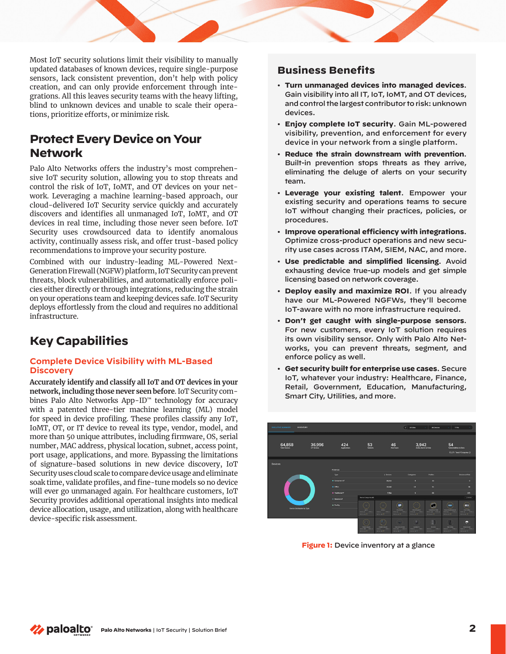Most IoT security solutions limit their visibility to manually updated databases of known devices, require single-purpose sensors, lack consistent prevention, don't help with policy creation, and can only provide enforcement through integrations. All this leaves security teams with the heavy lifting, blind to unknown devices and unable to scale their operations, prioritize efforts, or minimize risk.

## **Protect Every Device on Your Network**

Palo Alto Networks offers the industry's most comprehensive IoT security solution, allowing you to stop threats and control the risk of IoT, IoMT, and OT devices on your network. Leveraging a machine learning-based approach, our cloud-delivered IoT Security service quickly and accurately discovers and identifies all unmanaged IoT, IoMT, and OT devices in real time, including those never seen before. IoT Security uses crowdsourced data to identify anomalous activity, continually assess risk, and offer trust-based policy recommendations to improve your security posture.

Combined with our industry-leading ML-Powered Next-Generation Firewall (NGFW) platform, IoT Security can prevent threats, block vulnerabilities, and automatically enforce policies either directly or through integrations, reducing the strain on your operations team and keeping devices safe. IoT Security deploys effortlessly from the cloud and requires no additional infrastructure.

## **Key Capabilities**

#### **Complete Device Visibility with ML-Based Discovery**

**Accurately identify and classify all IoT and OT devices in your network, including those never seen before**. IoT Security combines Palo Alto Networks App-ID™ technology for accuracy with a patented three-tier machine learning (ML) model for speed in device profiling. These profiles classify any IoT, IoMT, OT, or IT device to reveal its type, vendor, model, and more than 50 unique attributes, including firmware, OS, serial number, MAC address, physical location, subnet, access point, port usage, applications, and more. Bypassing the limitations of signature-based solutions in new device discovery, IoT Security uses cloud scale to compare device usage and eliminate soak time, validate profiles, and fine-tune models so no device will ever go unmanaged again. For healthcare customers, IoT Security provides additional operational insights into medical device allocation, usage, and utilization, along with healthcare device-specific risk assessment.

### **Business Benefits**

- **Turn unmanaged devices into managed devices**. Gain visibility into all IT, IoT, IoMT, and OT devices, and control the largest contributor to risk: unknown devices.
- **Enjoy complete IoT security**. Gain ML-powered visibility, prevention, and enforcement for every device in your network from a single platform.
- **Reduce the strain downstream with prevention**. Built-in prevention stops threats as they arrive, eliminating the deluge of alerts on your security team.
- **Leverage your existing talent**. Empower your existing security and operations teams to secure IoT without changing their practices, policies, or procedures.
- **Improve operational efficiency with integrations**. Optimize cross-product operations and new security use cases across ITAM, SIEM, NAC, and more.
- **Use predictable and simplified licensing**. Avoid exhausting device true-up models and get simple licensing based on network coverage.
- **Deploy easily and maximize ROI**. If you already have our ML-Powered NGFWs, they'll become IoT-aware with no more infrastructure required.
- **Don't get caught with single-purpose sensors**. For new customers, every IoT solution requires its own visibility sensor. Only with Palo Alto Networks, you can prevent threats, segment, and enforce policy as well.
- **Get security built for enterprise use cases**. Secure IoT, whatever your industry: Healthcare, Finance, Retail, Government, Education, Manufacturing, Smart City, Utilities, and more.



**Figure 1:** Device inventory at a glance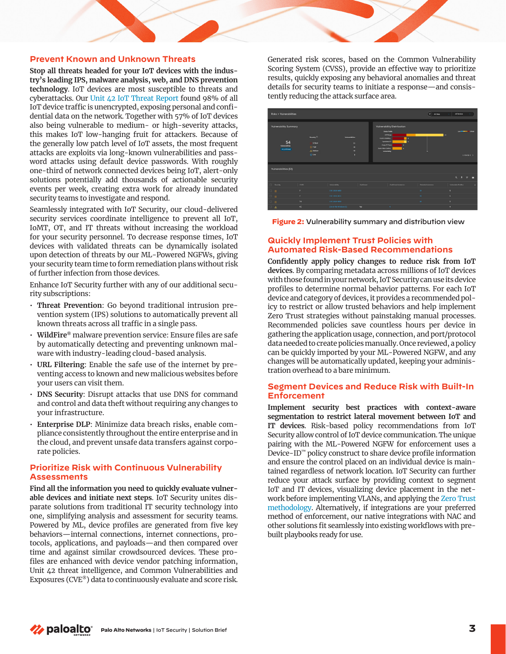#### **Prevent Known and Unknown Threats**

**Stop all threats headed for your IoT devices with the industry's leading IPS, malware analysis, web, and DNS prevention technology**. IoT devices are most susceptible to threats and cyberattacks. Our [Unit 42 IoT Threat Report](https://start.paloaltonetworks.com/unit-42-iot-threat-report) found 98% of all IoT device traffic is unencrypted, exposing personal and confidential data on the network. Together with 57% of IoT devices also being vulnerable to medium- or high-severity attacks, this makes IoT low-hanging fruit for attackers. Because of the generally low patch level of IoT assets, the most frequent attacks are exploits via long-known vulnerabilities and password attacks using default device passwords. With roughly one-third of network connected devices being IoT, alert-only solutions potentially add thousands of actionable security events per week, creating extra work for already inundated security teams to investigate and respond.

Seamlessly integrated with IoT Security, our cloud-delivered security services coordinate intelligence to prevent all IoT, IoMT, OT, and IT threats without increasing the workload for your security personnel. To decrease response times, IoT devices with validated threats can be dynamically isolated upon detection of threats by our ML-Powered NGFWs, giving your security team time to form remediation plans without risk of further infection from those devices.

Enhance IoT Security further with any of our additional security subscriptions:

- **Threat Prevention**: Go beyond traditional intrusion prevention system (IPS) solutions to automatically prevent all known threats across all traffic in a single pass.
- **WildFire®** malware prevention service: Ensure files are safe by automatically detecting and preventing unknown malware with industry-leading cloud-based analysis.
- **URL Filtering**: Enable the safe use of the internet by preventing access to known and new malicious websites before your users can visit them.
- **DNS Security**: Disrupt attacks that use DNS for command and control and data theft without requiring any changes to your infrastructure.
- **Enterprise DLP**: Minimize data breach risks, enable compliance consistently throughout the entire enterprise and in the cloud, and prevent unsafe data transfers against corporate policies.

#### **Prioritize Risk with Continuous Vulnerability Assessments**

**Find all the information you need to quickly evaluate vulnerable devices and initiate next steps**. IoT Security unites disparate solutions from traditional IT security technology into one, simplifying analysis and assessment for security teams. Powered by ML, device profiles are generated from five key behaviors—internal connections, internet connections, protocols, applications, and payloads—and then compared over time and against similar crowdsourced devices. These profiles are enhanced with device vendor patching information, Unit 42 threat intelligence, and Common Vulnerabilities and Exposures (CVE®) data to continuously evaluate and score risk.

Generated risk scores, based on the Common Vulnerability Scoring System (CVSS), provide an effective way to prioritize results, quickly exposing any behavioral anomalies and threat details for security teams to initiate a response—and consistently reducing the attack surface area.





#### **Quickly Implement Trust Policies with Automated Risk-Based Recommendations**

**Confidently apply policy changes to reduce risk from IoT devices**. By comparing metadata across millions of IoT devices with those found in your network, IoT Security can use its device profiles to determine normal behavior patterns. For each IoT device and category of devices, it provides a recommended policy to restrict or allow trusted behaviors and help implement Zero Trust strategies without painstaking manual processes. Recommended policies save countless hours per device in gathering the application usage, connection, and port/protocol data needed to create policies manually. Once reviewed, a policy can be quickly imported by your ML-Powered NGFW, and any changes will be automatically updated, keeping your administration overhead to a bare minimum.

#### **Segment Devices and Reduce Risk with Built-In Enforcement**

**Implement security best practices with context-aware segmentation to restrict lateral movement between IoT and IT devices**. Risk-based policy recommendations from IoT Security allow control of IoT device communication. The unique pairing with the ML-Powered NGFW for enforcement uses a Device-ID™ policy construct to share device profile information and ensure the control placed on an individual device is maintained regardless of network location. IoT Security can further reduce your attack surface by providing context to segment IoT and IT devices, visualizing device placement in the network before implementing VLANs, and applying the [Zero Trust](https://www.paloaltonetworks.com/network-security/zero-trust) [methodology.](https://www.paloaltonetworks.com/network-security/zero-trust) Alternatively, if integrations are your preferred method of enforcement, our native integrations with NAC and other solutions fit seamlessly into existing workflows with prebuilt playbooks ready for use.

*≹* paloalto **Palo Alto Networks** | IoT Security | Solution Brief **3**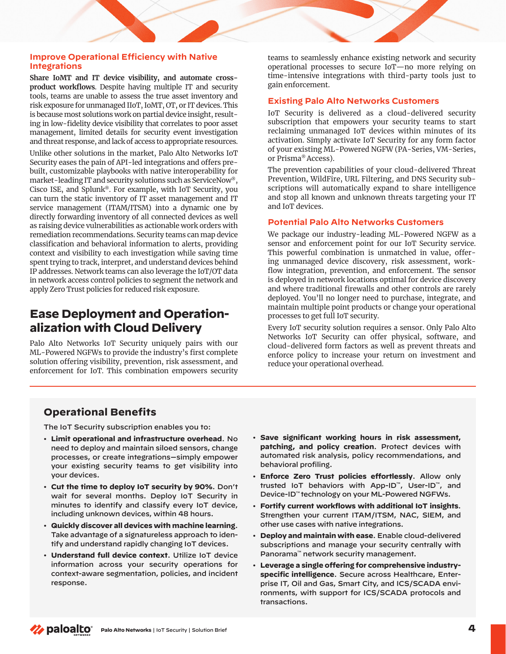#### **Improve Operational Efficiency with Native Integrations**

**Share IoMT and IT device visibility, and automate crossproduct workflows**. Despite having multiple IT and security tools, teams are unable to assess the true asset inventory and risk exposure for unmanaged IIoT, IoMT, OT, or IT devices. This is because most solutions work on partial device insight, resulting in low-fidelity device visibility that correlates to poor asset management, limited details for security event investigation and threat response, and lack of access to appropriate resources. Unlike other solutions in the market, Palo Alto Networks IoT Security eases the pain of API-led integrations and offers prebuilt, customizable playbooks with native interoperability for market-leading IT and security solutions such as ServiceNow®, Cisco ISE, and Splunk®. For example, with IoT Security, you can turn the static inventory of IT asset management and IT service management (ITAM/ITSM) into a dynamic one by directly forwarding inventory of all connected devices as well as raising device vulnerabilities as actionable work orders with remediation recommendations. Security teams can map device classification and behavioral information to alerts, providing context and visibility to each investigation while saving time spent trying to track, interpret, and understand devices behind IP addresses. Network teams can also leverage the IoT/OT data in network access control policies to segment the network and

# **Ease Deployment and Operationalization with Cloud Delivery**

apply Zero Trust policies for reduced risk exposure.

Palo Alto Networks IoT Security uniquely pairs with our ML-Powered NGFWs to provide the industry's first complete solution offering visibility, prevention, risk assessment, and enforcement for IoT. This combination empowers security teams to seamlessly enhance existing network and security operational processes to secure IoT—no more relying on time-intensive integrations with third-party tools just to gain enforcement.

#### **Existing Palo Alto Networks Customers**

IoT Security is delivered as a cloud-delivered security subscription that empowers your security teams to start reclaiming unmanaged IoT devices within minutes of its activation. Simply activate IoT Security for any form factor of your existing ML-Powered NGFW (PA-Series, VM-Series, or Prisma® Access).

The prevention capabilities of your cloud-delivered Threat Prevention, WildFire, URL Filtering, and DNS Security subscriptions will automatically expand to share intelligence and stop all known and unknown threats targeting your IT and IoT devices.

#### **Potential Palo Alto Networks Customers**

We package our industry-leading ML-Powered NGFW as a sensor and enforcement point for our IoT Security service. This powerful combination is unmatched in value, offering unmanaged device discovery, risk assessment, workflow integration, prevention, and enforcement. The sensor is deployed in network locations optimal for device discovery and where traditional firewalls and other controls are rarely deployed. You'll no longer need to purchase, integrate, and maintain multiple point products or change your operational processes to get full IoT security.

Every IoT security solution requires a sensor. Only Palo Alto Networks IoT Security can offer physical, software, and cloud-delivered form factors as well as prevent threats and enforce policy to increase your return on investment and reduce your operational overhead.

## **Operational Benefits**

The IoT Security subscription enables you to:

- **Limit operational and infrastructure overhead**. No need to deploy and maintain siloed sensors, change processes, or create integrations—simply empower your existing security teams to get visibility into your devices.
- **Cut the time to deploy IoT security by 90%**. Don't wait for several months. Deploy IoT Security in minutes to identify and classify every IoT device, including unknown devices, within 48 hours.
- **Quickly discover all devices with machine learning**. Take advantage of a signatureless approach to identify and understand rapidly changing IoT devices.
- **Understand full device context**. Utilize IoT device information across your security operations for context-aware segmentation, policies, and incident response.
- **Save significant working hours in risk assessment, patching, and policy creation**. Protect devices with automated risk analysis, policy recommendations, and behavioral profiling.
- **Enforce Zero Trust policies effortlessly**. Allow only trusted IoT behaviors with App-ID™, User-ID™, and Device-ID™ technology on your ML-Powered NGFWs.
- **Fortify current workflows with additional IoT insights**. Strengthen your current ITAM/ITSM, NAC, SIEM, and other use cases with native integrations.
- **Deploy and maintain with ease**. Enable cloud-delivered subscriptions and manage your security centrally with Panorama™ network security management.
- **Leverage a single offering for comprehensive industryspecific intelligence**. Secure across Healthcare, Enterprise IT, Oil and Gas, Smart City, and ICS/SCADA environments, with support for ICS/SCADA protocols and transactions.